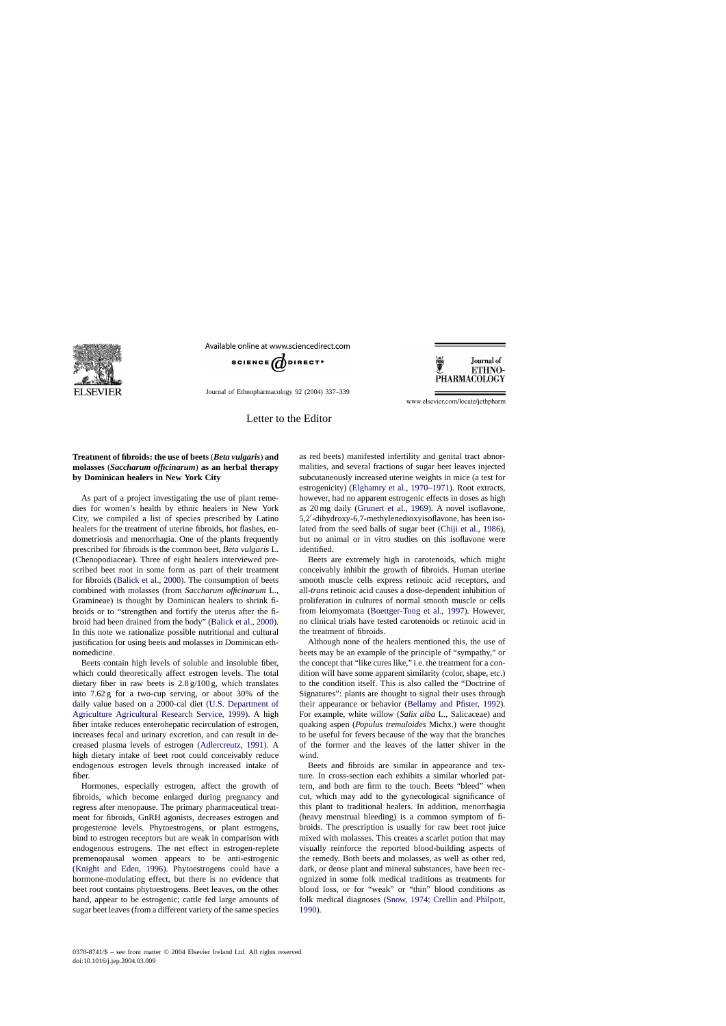

Available online at www.sciencedirect.com



Journal of Ethnopharmacology 92 (2004) 337–339

Journal of **ETHNO-PHARMACOLOGY** 

www.elsevier.com/locate/jethpharm

## Letter to the Editor

## **Treatment of fibroids: the use of beets** (*Beta vulgaris*) **and molasses** (*Saccharum officinarum*) **as an herbal therapy by Dominican healers in New York City**

As part of a project investigating the use of plant remedies for women's health by ethnic healers in New York City, we compiled a list of species prescribed by Latino healers for the treatment of uterine fibroids, hot flashes, endometriosis and menorrhagia. One of the plants frequently prescribed for fibroids is the common beet, *Beta vulgaris* L. (Chenopodiaceae). Three of eight healers interviewed prescribed beet root in some form as part of their treatment for fibroids ([Balick et al., 2000\).](#page-1-0) The consumption of beets combined with molasses (from *Saccharum officinarum* L., Gramineae) is thought by Dominican healers to shrink fibroids or to "strengthen and fortify the uterus after the fibroid had been drained from the body" ([Balick et al., 2000\).](#page-1-0) In this note we rationalize possible nutritional and cultural justification for using beets and molasses in Dominican ethnomedicine.

Beets contain high levels of soluble and insoluble fiber, which could theoretically affect estrogen levels. The total dietary fiber in raw beets is 2.8 g/100 g, which translates into 7.62 g for a two-cup serving, or about 30% of the daily value based on a 2000-cal diet ([U.S. Department of](#page-1-0) [Agriculture Agricultural Research Service, 1999\)](#page-1-0). A high fiber intake reduces enterohepatic recirculation of estrogen, increases fecal and urinary excretion, and can result in decreased plasma levels of estrogen [\(Adlercreutz, 1991\).](#page-1-0) A high dietary intake of beet root could conceivably reduce endogenous estrogen levels through increased intake of fiber.

Hormones, especially estrogen, affect the growth of fibroids, which become enlarged during pregnancy and regress after menopause. The primary pharmaceutical treatment for fibroids, GnRH agonists, decreases estrogen and progesterone levels. Phytoestrogens, or plant estrogens, bind to estrogen receptors but are weak in comparison with endogenous estrogens. The net effect in estrogen-replete premenopausal women appears to be anti-estrogenic ([Knight and Eden, 1996](#page-1-0)). Phytoestrogens could have a hormone-modulating effect, but there is no evidence that beet root contains phytoestrogens. Beet leaves, on the other hand, appear to be estrogenic; cattle fed large amounts of sugar beet leaves (from a different variety of the same species

as red beets) manifested infertility and genital tract abnormalities, and several fractions of sugar beet leaves injected subcutaneously increased uterine weights in mice (a test for estrogenicity) ([Elghamry et al., 1970–1971\).](#page-1-0) Root extracts, however, had no apparent estrogenic effects in doses as high as 20 mg daily ([Grunert et al., 1969\)](#page-1-0). A novel isoflavone, 5,2 -dihydroxy-6,7-methylenedioxyisoflavone, has been isolated from the seed balls of sugar beet [\(Chiji et al., 1986\),](#page-1-0) but no animal or in vitro studies on this isoflavone were identified.

Beets are extremely high in carotenoids, which might conceivably inhibit the growth of fibroids. Human uterine smooth muscle cells express retinoic acid receptors, and all-*trans* retinoic acid causes a dose-dependent inhibition of proliferation in cultures of normal smooth muscle or cells from leiomyomata ([Boettger-Tong et al., 1997\)](#page-1-0). However, no clinical trials have tested carotenoids or retinoic acid in the treatment of fibroids.

Although none of the healers mentioned this, the use of beets may be an example of the principle of "sympathy," or the concept that "like cures like," i.e. the treatment for a condition will have some apparent similarity (color, shape, etc.) to the condition itself. This is also called the "Doctrine of Signatures": plants are thought to signal their uses through their appearance or behavior ([Bellamy and Pfister, 1992\)](#page-1-0). For example, white willow (*Salix alba* L., Salicaceae) and quaking aspen (*Populus tremuloides* Michx.) were thought to be useful for fevers because of the way that the branches of the former and the leaves of the latter shiver in the wind.

Beets and fibroids are similar in appearance and texture. In cross-section each exhibits a similar whorled pattern, and both are firm to the touch. Beets "bleed" when cut, which may add to the gynecological significance of this plant to traditional healers. In addition, menorrhagia (heavy menstrual bleeding) is a common symptom of fibroids. The prescription is usually for raw beet root juice mixed with molasses. This creates a scarlet potion that may visually reinforce the reported blood-building aspects of the remedy. Both beets and molasses, as well as other red, dark, or dense plant and mineral substances, have been recognized in some folk medical traditions as treatments for blood loss, or for "weak" or "thin" blood conditions as folk medical diagnoses ([Snow, 1974; Crellin and Philpott,](#page-1-0) [1990\).](#page-1-0)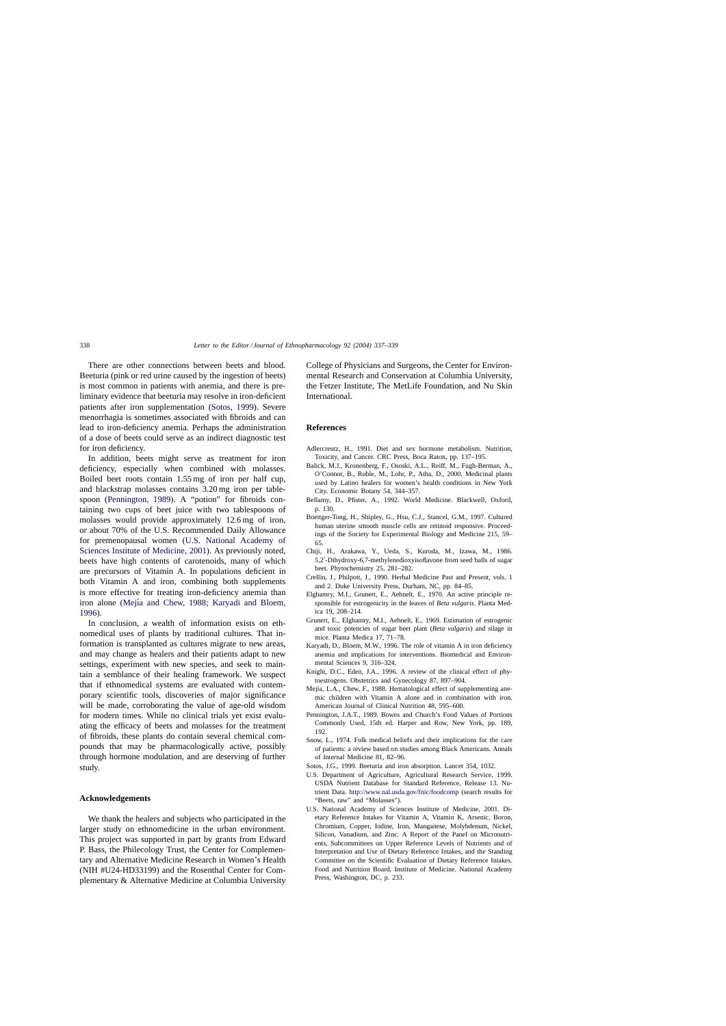<span id="page-1-0"></span>There are other connections between beets and blood. Beeturia (pink or red urine caused by the ingestion of beets) is most common in patients with anemia, and there is preliminary evidence that beeturia may resolve in iron-deficient patients after iron supplementation (Sotos, 1999). Severe menorrhagia is sometimes associated with fibroids and can lead to iron-deficiency anemia. Perhaps the administration of a dose of beets could serve as an indirect diagnostic test for iron deficiency.

In addition, beets might serve as treatment for iron deficiency, especially when combined with molasses. Boiled beet roots contain 1.55 mg of iron per half cup, and blackstrap molasses contains 3.20 mg iron per tablespoon (Pennington, 1989). A "potion" for fibroids containing two cups of beet juice with two tablespoons of molasses would provide approximately 12.6 mg of iron, or about 70% of the U.S. Recommended Daily Allowance for premenopausal women (U.S. National Academy of Sciences Institute of Medicine, 2001). As previously noted, beets have high contents of carotenoids, many of which are precursors of Vitamin A. In populations deficient in both Vitamin A and iron, combining both supplements is more effective for treating iron-deficiency anemia than iron alone (Mejía and Chew, 1988; Karyadi and Bloem, 1996).

In conclusion, a wealth of information exists on ethnomedical uses of plants by traditional cultures. That information is transplanted as cultures migrate to new areas, and may change as healers and their patients adapt to new settings, experiment with new species, and seek to maintain a semblance of their healing framework. We suspect that if ethnomedical systems are evaluated with contemporary scientific tools, discoveries of major significance will be made, corroborating the value of age-old wisdom for modern times. While no clinical trials yet exist evaluating the efficacy of beets and molasses for the treatment of fibroids, these plants do contain several chemical compounds that may be pharmacologically active, possibly through hormone modulation, and are deserving of further study.

## **Acknowledgements**

We thank the healers and subjects who participated in the larger study on ethnomedicine in the urban environment. This project was supported in part by grants from Edward P. Bass, the Philecology Trust, the Center for Complementary and Alternative Medicine Research in Women's Health (NIH #U24-HD33199) and the Rosenthal Center for Complementary & Alternative Medicine at Columbia University College of Physicians and Surgeons, the Center for Environmental Research and Conservation at Columbia University, the Fetzer Institute, The MetLife Foundation, and Nu Skin **International** 

## **References**

- Adlercreutz, H., 1991. Diet and sex hormone metabolism. Nutrition, Toxicity, and Cancer. CRC Press, Boca Raton, pp. 137–195.
- Balick, M.J., Kronenberg, F., Ososki, A.L., Reiff, M., Fugh-Berman, A., O'Connor, B., Roble, M., Lohr, P., Atha, D., 2000. Medicinal plants used by Latino healers for women's health conditions in New York City. Economic Botany 54, 344–357.
- Bellamy, D., Pfister, A., 1992. World Medicine. Blackwell, Oxford, p. 130.
- Boettger-Tong, H., Shipley, G., Hsu, C.J., Stancel, G.M., 1997. Cultured human uterine smooth muscle cells are retinoid responsive. Proceedings of the Society for Experimental Biology and Medicine 215, 59– 65.
- Chiji, H., Arakawa, Y., Ueda, S., Kuroda, M., Izawa, M., 1986. 5,2 -Dihydroxy-6,7-methylenedioxyisoflavone from seed balls of sugar beet. Phytochemistry 25, 281–282.
- Crellin, J., Philpott, J., 1990. Herbal Medicine Past and Present, vols. 1 and 2. Duke University Press, Durham, NC, pp. 84–85.
- Elghamry, M.I., Grunert, E., Aehnelt, E., 1970. An active principle responsible for estrogenicity in the leaves of *Beta vulgaris*. Planta Medica 19, 208–214.
- Grunert, E., Elghamry, M.I., Aehnelt, E., 1969. Estimation of estrogenic and toxic potencies of sugar beet plant (*Beta vulgaris*) and silage in mice. Planta Medica 17, 71–78.
- Karyadi, D., Bloem, M.W., 1996. The role of vitamin A in iron deficiency anemia and implications for interventions. Biomedical and Environmental Sciences 9, 316–324.
- Knight, D.C., Eden, J.A., 1996. A review of the clinical effect of phytoestrogens. Obstetrics and Gynecology 87, 897–904.
- Mejía, L.A., Chew, F., 1988. Hematological effect of supplementing anemic children with Vitamin A alone and in combination with iron. American Journal of Clinical Nutrition 48, 595–600.
- Pennington, J.A.T., 1989. Bowes and Church's Food Values of Portions Commonly Used, 15th ed. Harper and Row, New York, pp. 189, 192.
- Snow, L., 1974. Folk medical beliefs and their implications for the care of patients: a review based on studies among Black Americans. Annals of Internal Medicine 81, 82–96.
- Sotos, J.G., 1999. Beeturia and iron absorption. Lancet 354, 1032.
- U.S. Department of Agriculture, Agricultural Research Service, 1999. USDA Nutrient Database for Standard Reference, Release 13. Nutrient Data. <http://www.nal.usda.gov/fnic/foodcomp> (search results for "Beets, raw" and "Molasses").
- U.S. National Academy of Sciences Institute of Medicine, 2001. Dietary Reference Intakes for Vitamin A, Vitamin K, Arsenic, Boron, Chromium, Copper, Iodine, Iron, Manganese, Molybdenum, Nickel, Silicon, Vanadium, and Zinc. A Report of the Panel on Micronutrients, Subcommittees on Upper Reference Levels of Nutrients and of Interpretation and Use of Dietary Reference Intakes, and the Standing Committee on the Scientific Evaluation of Dietary Reference Intakes. Food and Nutrition Board, Institute of Medicine. National Academy Press, Washington, DC, p. 233.